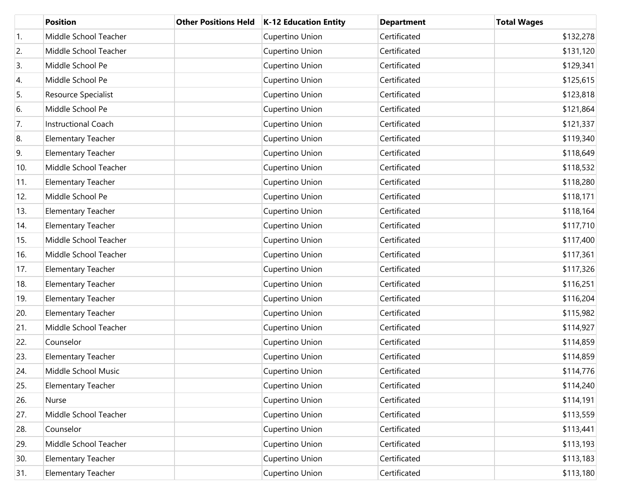|     | <b>Position</b>           | <b>Other Positions Held</b> | K-12 Education Entity | <b>Department</b> | <b>Total Wages</b> |
|-----|---------------------------|-----------------------------|-----------------------|-------------------|--------------------|
| 1.  | Middle School Teacher     |                             | Cupertino Union       | Certificated      | \$132,278          |
| 2.  | Middle School Teacher     |                             | Cupertino Union       | Certificated      | \$131,120          |
| 3.  | Middle School Pe          |                             | Cupertino Union       | Certificated      | \$129,341          |
| 4.  | Middle School Pe          |                             | Cupertino Union       | Certificated      | \$125,615          |
| 5.  | Resource Specialist       |                             | Cupertino Union       | Certificated      | \$123,818          |
| 6.  | Middle School Pe          |                             | Cupertino Union       | Certificated      | \$121,864          |
| 7.  | Instructional Coach       |                             | Cupertino Union       | Certificated      | \$121,337          |
| 8.  | Elementary Teacher        |                             | Cupertino Union       | Certificated      | \$119,340          |
| 9.  | <b>Elementary Teacher</b> |                             | Cupertino Union       | Certificated      | \$118,649          |
| 10. | Middle School Teacher     |                             | Cupertino Union       | Certificated      | \$118,532          |
| 11. | <b>Elementary Teacher</b> |                             | Cupertino Union       | Certificated      | \$118,280          |
| 12. | Middle School Pe          |                             | Cupertino Union       | Certificated      | \$118,171          |
| 13. | Elementary Teacher        |                             | Cupertino Union       | Certificated      | \$118,164          |
| 14. | <b>Elementary Teacher</b> |                             | Cupertino Union       | Certificated      | \$117,710          |
| 15. | Middle School Teacher     |                             | Cupertino Union       | Certificated      | \$117,400          |
| 16. | Middle School Teacher     |                             | Cupertino Union       | Certificated      | \$117,361          |
| 17. | Elementary Teacher        |                             | Cupertino Union       | Certificated      | \$117,326          |
| 18. | <b>Elementary Teacher</b> |                             | Cupertino Union       | Certificated      | \$116,251          |
| 19. | Elementary Teacher        |                             | Cupertino Union       | Certificated      | \$116,204          |
| 20. | <b>Elementary Teacher</b> |                             | Cupertino Union       | Certificated      | \$115,982          |
| 21. | Middle School Teacher     |                             | Cupertino Union       | Certificated      | \$114,927          |
| 22. | Counselor                 |                             | Cupertino Union       | Certificated      | \$114,859          |
| 23. | Elementary Teacher        |                             | Cupertino Union       | Certificated      | \$114,859          |
| 24. | Middle School Music       |                             | Cupertino Union       | Certificated      | \$114,776          |
| 25. | Elementary Teacher        |                             | Cupertino Union       | Certificated      | \$114,240          |
| 26. | Nurse                     |                             | Cupertino Union       | Certificated      | \$114,191          |
| 27. | Middle School Teacher     |                             | Cupertino Union       | Certificated      | \$113,559          |
| 28. | Counselor                 |                             | Cupertino Union       | Certificated      | \$113,441          |
| 29. | Middle School Teacher     |                             | Cupertino Union       | Certificated      | \$113,193          |
| 30. | Elementary Teacher        |                             | Cupertino Union       | Certificated      | \$113,183          |
| 31. | <b>Elementary Teacher</b> |                             | Cupertino Union       | Certificated      | \$113,180          |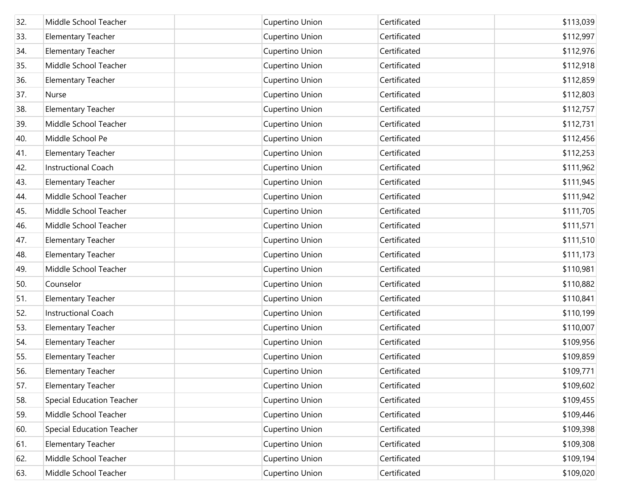| 32. | Middle School Teacher            | Cupertino Union | Certificated | \$113,039 |
|-----|----------------------------------|-----------------|--------------|-----------|
| 33. | <b>Elementary Teacher</b>        | Cupertino Union | Certificated | \$112,997 |
| 34. | <b>Elementary Teacher</b>        | Cupertino Union | Certificated | \$112,976 |
| 35. | Middle School Teacher            | Cupertino Union | Certificated | \$112,918 |
| 36. | <b>Elementary Teacher</b>        | Cupertino Union | Certificated | \$112,859 |
| 37. | Nurse                            | Cupertino Union | Certificated | \$112,803 |
| 38. | <b>Elementary Teacher</b>        | Cupertino Union | Certificated | \$112,757 |
| 39. | Middle School Teacher            | Cupertino Union | Certificated | \$112,731 |
| 40. | Middle School Pe                 | Cupertino Union | Certificated | \$112,456 |
| 41. | <b>Elementary Teacher</b>        | Cupertino Union | Certificated | \$112,253 |
| 42. | <b>Instructional Coach</b>       | Cupertino Union | Certificated | \$111,962 |
| 43. | <b>Elementary Teacher</b>        | Cupertino Union | Certificated | \$111,945 |
| 44. | Middle School Teacher            | Cupertino Union | Certificated | \$111,942 |
| 45. | Middle School Teacher            | Cupertino Union | Certificated | \$111,705 |
| 46. | Middle School Teacher            | Cupertino Union | Certificated | \$111,571 |
| 47. | <b>Elementary Teacher</b>        | Cupertino Union | Certificated | \$111,510 |
| 48. | <b>Elementary Teacher</b>        | Cupertino Union | Certificated | \$111,173 |
| 49. | Middle School Teacher            | Cupertino Union | Certificated | \$110,981 |
| 50. | Counselor                        | Cupertino Union | Certificated | \$110,882 |
| 51. | <b>Elementary Teacher</b>        | Cupertino Union | Certificated | \$110,841 |
| 52. | Instructional Coach              | Cupertino Union | Certificated | \$110,199 |
| 53. | <b>Elementary Teacher</b>        | Cupertino Union | Certificated | \$110,007 |
| 54. | <b>Elementary Teacher</b>        | Cupertino Union | Certificated | \$109,956 |
| 55. | <b>Elementary Teacher</b>        | Cupertino Union | Certificated | \$109,859 |
| 56. | <b>Elementary Teacher</b>        | Cupertino Union | Certificated | \$109,771 |
| 57. | <b>Elementary Teacher</b>        | Cupertino Union | Certificated | \$109,602 |
| 58. | <b>Special Education Teacher</b> | Cupertino Union | Certificated | \$109,455 |
| 59. | Middle School Teacher            | Cupertino Union | Certificated | \$109,446 |
| 60. | <b>Special Education Teacher</b> | Cupertino Union | Certificated | \$109,398 |
| 61. | <b>Elementary Teacher</b>        | Cupertino Union | Certificated | \$109,308 |
| 62. | Middle School Teacher            | Cupertino Union | Certificated | \$109,194 |
| 63. | Middle School Teacher            | Cupertino Union | Certificated | \$109,020 |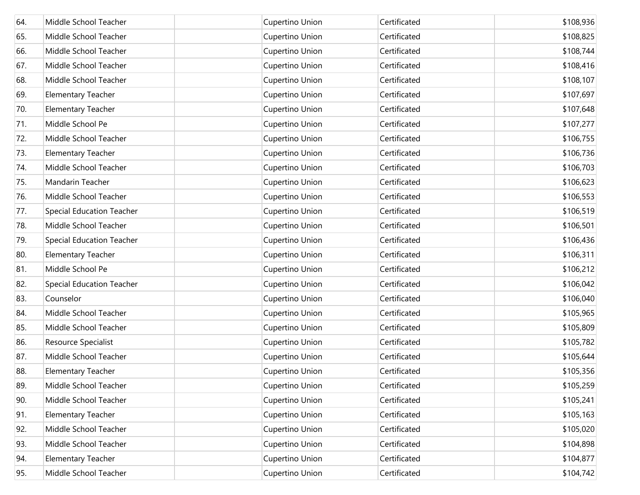| 64. | Middle School Teacher            | Cupertino Union | Certificated | \$108,936 |
|-----|----------------------------------|-----------------|--------------|-----------|
| 65. | Middle School Teacher            | Cupertino Union | Certificated | \$108,825 |
| 66. | Middle School Teacher            | Cupertino Union | Certificated | \$108,744 |
| 67. | Middle School Teacher            | Cupertino Union | Certificated | \$108,416 |
| 68. | Middle School Teacher            | Cupertino Union | Certificated | \$108,107 |
| 69. | <b>Elementary Teacher</b>        | Cupertino Union | Certificated | \$107,697 |
| 70. | <b>Elementary Teacher</b>        | Cupertino Union | Certificated | \$107,648 |
| 71. | Middle School Pe                 | Cupertino Union | Certificated | \$107,277 |
| 72. | Middle School Teacher            | Cupertino Union | Certificated | \$106,755 |
| 73. | <b>Elementary Teacher</b>        | Cupertino Union | Certificated | \$106,736 |
| 74. | Middle School Teacher            | Cupertino Union | Certificated | \$106,703 |
| 75. | Mandarin Teacher                 | Cupertino Union | Certificated | \$106,623 |
| 76. | Middle School Teacher            | Cupertino Union | Certificated | \$106,553 |
| 77. | <b>Special Education Teacher</b> | Cupertino Union | Certificated | \$106,519 |
| 78. | Middle School Teacher            | Cupertino Union | Certificated | \$106,501 |
| 79. | <b>Special Education Teacher</b> | Cupertino Union | Certificated | \$106,436 |
| 80. | <b>Elementary Teacher</b>        | Cupertino Union | Certificated | \$106,311 |
| 81. | Middle School Pe                 | Cupertino Union | Certificated | \$106,212 |
| 82. | <b>Special Education Teacher</b> | Cupertino Union | Certificated | \$106,042 |
| 83. | Counselor                        | Cupertino Union | Certificated | \$106,040 |
| 84. | Middle School Teacher            | Cupertino Union | Certificated | \$105,965 |
| 85. | Middle School Teacher            | Cupertino Union | Certificated | \$105,809 |
| 86. | Resource Specialist              | Cupertino Union | Certificated | \$105,782 |
| 87. | Middle School Teacher            | Cupertino Union | Certificated | \$105,644 |
| 88. | <b>Elementary Teacher</b>        | Cupertino Union | Certificated | \$105,356 |
| 89. | Middle School Teacher            | Cupertino Union | Certificated | \$105,259 |
| 90. | Middle School Teacher            | Cupertino Union | Certificated | \$105,241 |
| 91. | <b>Elementary Teacher</b>        | Cupertino Union | Certificated | \$105,163 |
| 92. | Middle School Teacher            | Cupertino Union | Certificated | \$105,020 |
| 93. | Middle School Teacher            | Cupertino Union | Certificated | \$104,898 |
| 94. | <b>Elementary Teacher</b>        | Cupertino Union | Certificated | \$104,877 |
| 95. | Middle School Teacher            | Cupertino Union | Certificated | \$104,742 |